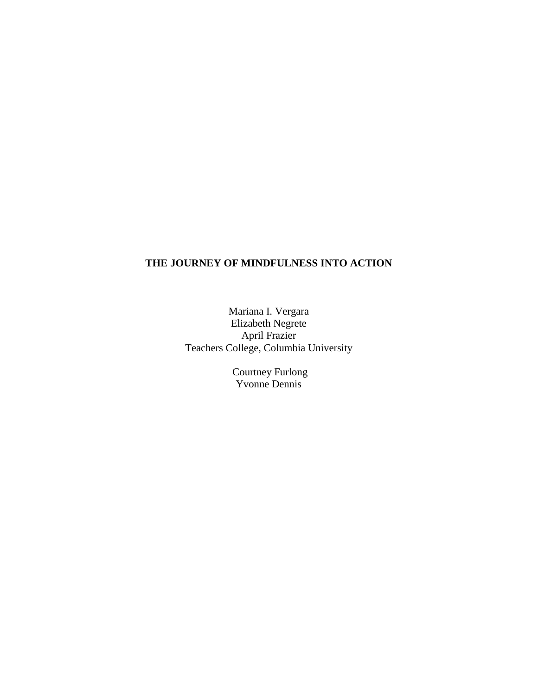# **THE JOURNEY OF MINDFULNESS INTO ACTION**

Mariana I. Vergara Elizabeth Negrete April Frazier Teachers College, Columbia University

> Courtney Furlong Yvonne Dennis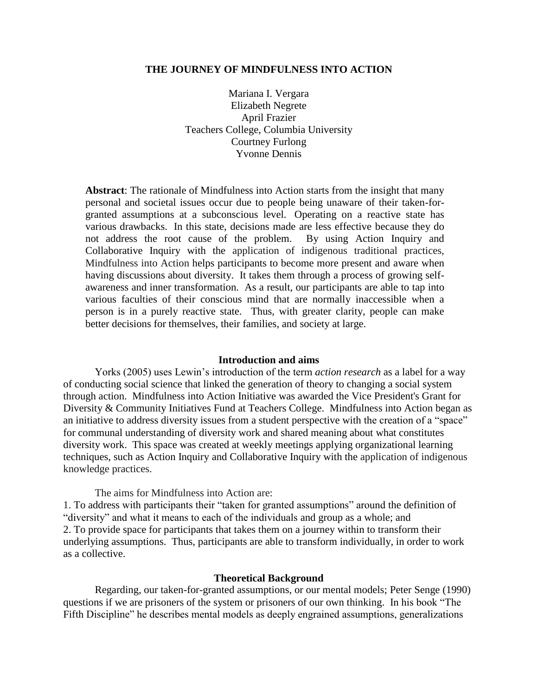### **THE JOURNEY OF MINDFULNESS INTO ACTION**

Mariana I. Vergara Elizabeth Negrete April Frazier Teachers College, Columbia University Courtney Furlong Yvonne Dennis

**Abstract**: The rationale of Mindfulness into Action starts from the insight that many personal and societal issues occur due to people being unaware of their taken-forgranted assumptions at a subconscious level. Operating on a reactive state has various drawbacks. In this state, decisions made are less effective because they do not address the root cause of the problem. By using Action Inquiry and Collaborative Inquiry with the application of indigenous traditional practices, Mindfulness into Action helps participants to become more present and aware when having discussions about diversity. It takes them through a process of growing selfawareness and inner transformation. As a result, our participants are able to tap into various faculties of their conscious mind that are normally inaccessible when a person is in a purely reactive state. Thus, with greater clarity, people can make better decisions for themselves, their families, and society at large.

#### **Introduction and aims**

Yorks (2005) uses Lewin's introduction of the term *action research* as a label for a way of conducting social science that linked the generation of theory to changing a social system through action. Mindfulness into Action Initiative was awarded the Vice President's Grant for Diversity & Community Initiatives Fund at Teachers College. Mindfulness into Action began as an initiative to address diversity issues from a student perspective with the creation of a "space" for communal understanding of diversity work and shared meaning about what constitutes diversity work. This space was created at weekly meetings applying organizational learning techniques, such as Action Inquiry and Collaborative Inquiry with the application of indigenous knowledge practices.

The aims for Mindfulness into Action are:

1. To address with participants their "taken for granted assumptions" around the definition of "diversity" and what it means to each of the individuals and group as a whole; and 2. To provide space for participants that takes them on a journey within to transform their underlying assumptions. Thus, participants are able to transform individually, in order to work as a collective.

### **Theoretical Background**

Regarding, our taken-for-granted assumptions, or our mental models; Peter Senge (1990) questions if we are prisoners of the system or prisoners of our own thinking. In his book "The Fifth Discipline" he describes mental models as deeply engrained assumptions, generalizations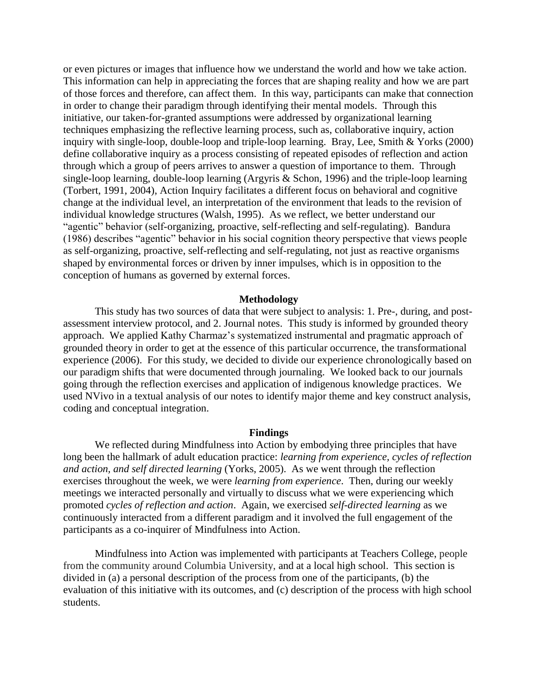or even pictures or images that influence how we understand the world and how we take action. This information can help in appreciating the forces that are shaping reality and how we are part of those forces and therefore, can affect them. In this way, participants can make that connection in order to change their paradigm through identifying their mental models. Through this initiative, our taken-for-granted assumptions were addressed by organizational learning techniques emphasizing the reflective learning process, such as, collaborative inquiry, action inquiry with single-loop, double-loop and triple-loop learning. Bray, Lee, Smith & Yorks (2000) define collaborative inquiry as a process consisting of repeated episodes of reflection and action through which a group of peers arrives to answer a question of importance to them. Through single-loop learning, double-loop learning (Argyris & Schon, 1996) and the triple-loop learning (Torbert, 1991, 2004), Action Inquiry facilitates a different focus on behavioral and cognitive change at the individual level, an interpretation of the environment that leads to the revision of individual knowledge structures (Walsh, 1995). As we reflect, we better understand our "agentic" behavior (self-organizing, proactive, self-reflecting and self-regulating). Bandura (1986) describes "agentic" behavior in his social cognition theory perspective that views people as self-organizing, proactive, self-reflecting and self-regulating, not just as reactive organisms shaped by environmental forces or driven by inner impulses, which is in opposition to the conception of humans as governed by external forces.

### **Methodology**

This study has two sources of data that were subject to analysis: 1. Pre-, during, and postassessment interview protocol, and 2. Journal notes. This study is informed by grounded theory approach. We applied Kathy Charmaz's systematized instrumental and pragmatic approach of grounded theory in order to get at the essence of this particular occurrence, the transformational experience (2006). For this study, we decided to divide our experience chronologically based on our paradigm shifts that were documented through journaling. We looked back to our journals going through the reflection exercises and application of indigenous knowledge practices. We used NVivo in a textual analysis of our notes to identify major theme and key construct analysis, coding and conceptual integration.

#### **Findings**

We reflected during Mindfulness into Action by embodying three principles that have long been the hallmark of adult education practice: *learning from experience, cycles of reflection and action, and self directed learning* (Yorks, 2005). As we went through the reflection exercises throughout the week, we were *learning from experience*. Then, during our weekly meetings we interacted personally and virtually to discuss what we were experiencing which promoted *cycles of reflection and action*. Again, we exercised *self-directed learning* as we continuously interacted from a different paradigm and it involved the full engagement of the participants as a co-inquirer of Mindfulness into Action.

Mindfulness into Action was implemented with participants at Teachers College, people from the community around Columbia University, and at a local high school. This section is divided in (a) a personal description of the process from one of the participants, (b) the evaluation of this initiative with its outcomes, and (c) description of the process with high school students.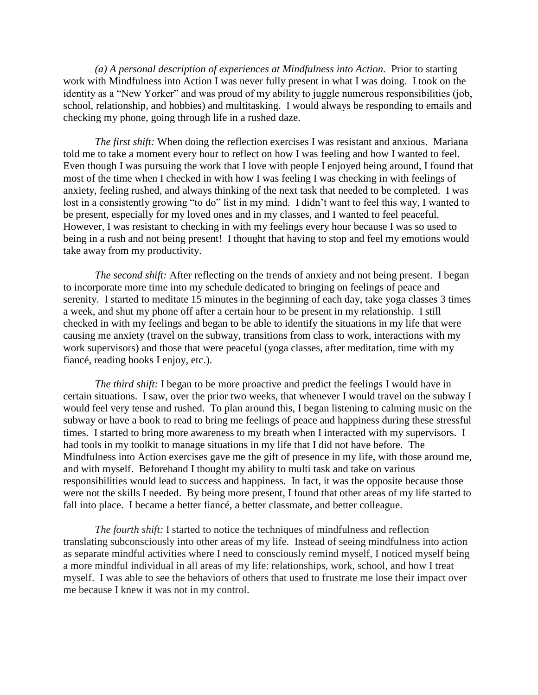*(a) A personal description of experiences at Mindfulness into Action.* Prior to starting work with Mindfulness into Action I was never fully present in what I was doing. I took on the identity as a "New Yorker" and was proud of my ability to juggle numerous responsibilities (job, school, relationship, and hobbies) and multitasking. I would always be responding to emails and checking my phone, going through life in a rushed daze.

*The first shift:* When doing the reflection exercises I was resistant and anxious. Mariana told me to take a moment every hour to reflect on how I was feeling and how I wanted to feel. Even though I was pursuing the work that I love with people I enjoyed being around, I found that most of the time when I checked in with how I was feeling I was checking in with feelings of anxiety, feeling rushed, and always thinking of the next task that needed to be completed. I was lost in a consistently growing "to do" list in my mind. I didn't want to feel this way, I wanted to be present, especially for my loved ones and in my classes, and I wanted to feel peaceful. However, I was resistant to checking in with my feelings every hour because I was so used to being in a rush and not being present! I thought that having to stop and feel my emotions would take away from my productivity.

*The second shift:* After reflecting on the trends of anxiety and not being present. I began to incorporate more time into my schedule dedicated to bringing on feelings of peace and serenity. I started to meditate 15 minutes in the beginning of each day, take yoga classes 3 times a week, and shut my phone off after a certain hour to be present in my relationship. I still checked in with my feelings and began to be able to identify the situations in my life that were causing me anxiety (travel on the subway, transitions from class to work, interactions with my work supervisors) and those that were peaceful (yoga classes, after meditation, time with my fiancé, reading books I enjoy, etc.).

*The third shift:* I began to be more proactive and predict the feelings I would have in certain situations. I saw, over the prior two weeks, that whenever I would travel on the subway I would feel very tense and rushed. To plan around this, I began listening to calming music on the subway or have a book to read to bring me feelings of peace and happiness during these stressful times. I started to bring more awareness to my breath when I interacted with my supervisors. I had tools in my toolkit to manage situations in my life that I did not have before. The Mindfulness into Action exercises gave me the gift of presence in my life, with those around me, and with myself. Beforehand I thought my ability to multi task and take on various responsibilities would lead to success and happiness. In fact, it was the opposite because those were not the skills I needed. By being more present, I found that other areas of my life started to fall into place. I became a better fiancé, a better classmate, and better colleague.

*The fourth shift:* I started to notice the techniques of mindfulness and reflection translating subconsciously into other areas of my life. Instead of seeing mindfulness into action as separate mindful activities where I need to consciously remind myself, I noticed myself being a more mindful individual in all areas of my life: relationships, work, school, and how I treat myself. I was able to see the behaviors of others that used to frustrate me lose their impact over me because I knew it was not in my control.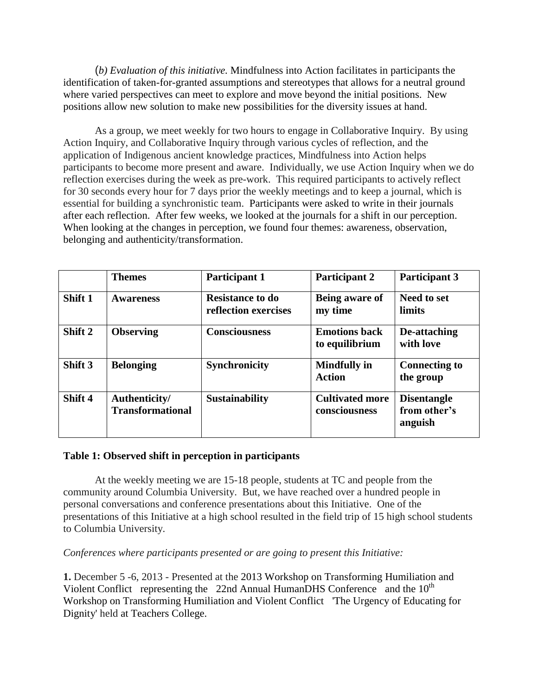(*b) Evaluation of this initiative.* Mindfulness into Action facilitates in participants the identification of taken-for-granted assumptions and stereotypes that allows for a neutral ground where varied perspectives can meet to explore and move beyond the initial positions. New positions allow new solution to make new possibilities for the diversity issues at hand.

As a group, we meet weekly for two hours to engage in Collaborative Inquiry. By using Action Inquiry, and Collaborative Inquiry through various cycles of reflection, and the application of Indigenous ancient knowledge practices, Mindfulness into Action helps participants to become more present and aware. Individually, we use Action Inquiry when we do reflection exercises during the week as pre-work. This required participants to actively reflect for 30 seconds every hour for 7 days prior the weekly meetings and to keep a journal, which is essential for building a synchronistic team. Participants were asked to write in their journals after each reflection. After few weeks, we looked at the journals for a shift in our perception. When looking at the changes in perception, we found four themes: awareness, observation, belonging and authenticity/transformation.

|         | <b>Themes</b>                            | <b>Participant 1</b>                            | <b>Participant 2</b>                    | <b>Participant 3</b>                          |
|---------|------------------------------------------|-------------------------------------------------|-----------------------------------------|-----------------------------------------------|
| Shift 1 | <b>Awareness</b>                         | <b>Resistance to do</b><br>reflection exercises | Being aware of<br>my time               | <b>Need to set</b><br><b>limits</b>           |
| Shift 2 | <b>Observing</b>                         | <b>Consciousness</b>                            | <b>Emotions back</b><br>to equilibrium  | De-attaching<br>with love                     |
| Shift 3 | <b>Belonging</b>                         | <b>Synchronicity</b>                            | <b>Mindfully in</b><br><b>Action</b>    | <b>Connecting to</b><br>the group             |
| Shift 4 | Authenticity/<br><b>Transformational</b> | <b>Sustainability</b>                           | <b>Cultivated more</b><br>consciousness | <b>Disentangle</b><br>from other's<br>anguish |

# **Table 1: Observed shift in perception in participants**

At the weekly meeting we are 15-18 people, students at TC and people from the community around Columbia University. But, we have reached over a hundred people in personal conversations and conference presentations about this Initiative. One of the presentations of this Initiative at a high school resulted in the field trip of 15 high school students to Columbia University.

*Conferences where participants presented or are going to present this Initiative:* 

**1.** December 5 -6, 2013 - Presented at the 2013 Workshop on Transforming Humiliation and Violent Conflict representing the 22nd Annual HumanDHS Conference and the  $10<sup>th</sup>$ Workshop on Transforming Humiliation and Violent Conflict 'The Urgency of Educating for Dignity' held at Teachers College.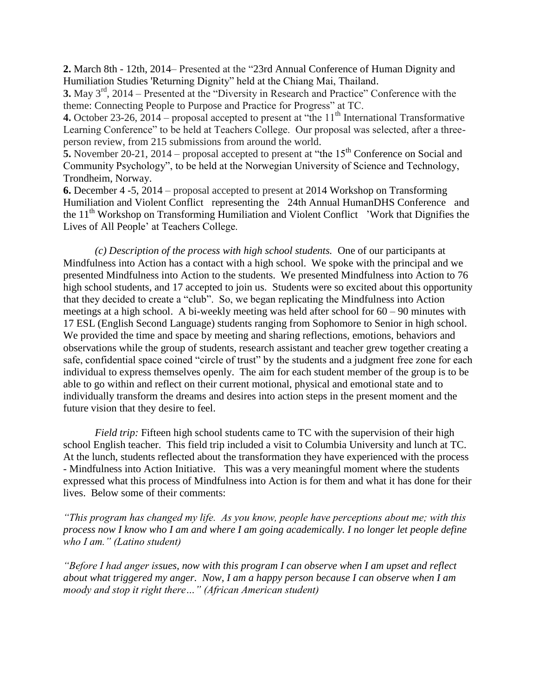**2.** March 8th - 12th, 2014– Presented at the ["23rd Annual Conference of Human Dignity and](http://www.humiliationstudies.org/documents/23rdAnnualHumanDHSConferenceProgramme.pdf)  [Humiliation Studies](http://www.humiliationstudies.org/documents/23rdAnnualHumanDHSConferenceProgramme.pdf) ['Returning Dignity" held at the Chiang Mai, Thailand.](http://www.humiliationstudies.org/documents/23rdAnnualHumanDHSConferenceProgramme.pdf)

**3.** May 3rd, 2014 – Presented at the "Diversity in Research and Practice" Conference with the theme: Connecting People to Purpose and Practice for Progress" at TC.

**4.** October 23-26, 2014 – proposal accepted to present at "the  $11<sup>th</sup>$  International Transformative Learning Conference" to be held at Teachers College. Our proposal was selected, after a threeperson review, from 215 submissions from around the world.

**5.** November 20-21, 2014 – proposal accepted to present at "the 15<sup>th</sup> Conference on Social and Community Psychology", to be held at the Norwegian University of Science and Technology, Trondheim, Norway.

**6.** December 4 -5, 2014 – proposal accepted to present at 2014 Workshop on Transforming Humiliation and Violent Conflict representing the 24th Annual HumanDHS Conference and the  $11<sup>th</sup>$  Workshop on Transforming Humiliation and Violent Conflict 'Work that Dignifies the Lives of All People' at Teachers College.

*(c) Description of the process with high school students.* One of our participants at Mindfulness into Action has a contact with a high school. We spoke with the principal and we presented Mindfulness into Action to the students. We presented Mindfulness into Action to 76 high school students, and 17 accepted to join us. Students were so excited about this opportunity that they decided to create a "club". So, we began replicating the Mindfulness into Action meetings at a high school. A bi-weekly meeting was held after school for  $60 - 90$  minutes with 17 ESL (English Second Language) students ranging from Sophomore to Senior in high school. We provided the time and space by meeting and sharing reflections, emotions, behaviors and observations while the group of students, research assistant and teacher grew together creating a safe, confidential space coined "circle of trust" by the students and a judgment free zone for each individual to express themselves openly. The aim for each student member of the group is to be able to go within and reflect on their current motional, physical and emotional state and to individually transform the dreams and desires into action steps in the present moment and the future vision that they desire to feel.

*Field trip:* Fifteen high school students came to TC with the supervision of their high school English teacher. This field trip included a visit to Columbia University and lunch at TC. At the lunch, students reflected about the transformation they have experienced with the process - Mindfulness into Action Initiative. This was a very meaningful moment where the students expressed what this process of Mindfulness into Action is for them and what it has done for their lives. Below some of their comments:

*"This program has changed my life. As you know, people have perceptions about me; with this process now I know who I am and where I am going academically. I no longer let people define who I am." (Latino student)*

*"Before I had anger issues, now with this program I can observe when I am upset and reflect about what triggered my anger. Now, I am a happy person because I can observe when I am moody and stop it right there…" (African American student)*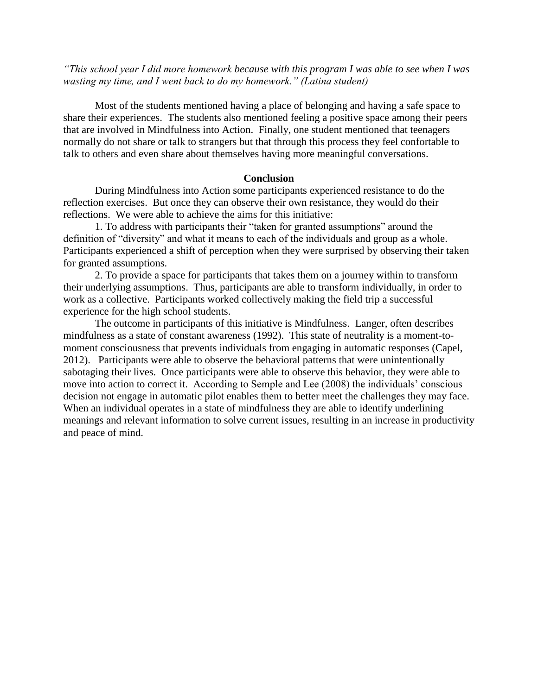*"This school year I did more homework because with this program I was able to see when I was wasting my time, and I went back to do my homework." (Latina student)*

Most of the students mentioned having a place of belonging and having a safe space to share their experiences. The students also mentioned feeling a positive space among their peers that are involved in Mindfulness into Action. Finally, one student mentioned that teenagers normally do not share or talk to strangers but that through this process they feel confortable to talk to others and even share about themselves having more meaningful conversations.

# **Conclusion**

During Mindfulness into Action some participants experienced resistance to do the reflection exercises. But once they can observe their own resistance, they would do their reflections. We were able to achieve the aims for this initiative:

1. To address with participants their "taken for granted assumptions" around the definition of "diversity" and what it means to each of the individuals and group as a whole. Participants experienced a shift of perception when they were surprised by observing their taken for granted assumptions.

2. To provide a space for participants that takes them on a journey within to transform their underlying assumptions. Thus, participants are able to transform individually, in order to work as a collective. Participants worked collectively making the field trip a successful experience for the high school students.

The outcome in participants of this initiative is Mindfulness. Langer, often describes mindfulness as a state of constant awareness (1992). This state of neutrality is a moment-tomoment consciousness that prevents individuals from engaging in automatic responses (Capel, 2012). Participants were able to observe the behavioral patterns that were unintentionally sabotaging their lives. Once participants were able to observe this behavior, they were able to move into action to correct it. According to Semple and Lee (2008) the individuals' conscious decision not engage in automatic pilot enables them to better meet the challenges they may face. When an individual operates in a state of mindfulness they are able to identify underlining meanings and relevant information to solve current issues, resulting in an increase in productivity and peace of mind.